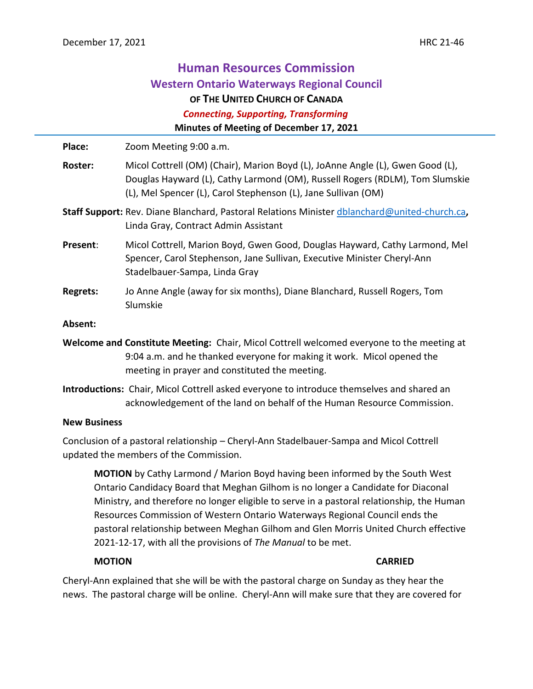# **Human Resources Commission Western Ontario Waterways Regional Council OF THE UNITED CHURCH OF CANADA**  *Connecting, Supporting, Transforming* **Minutes of Meeting of December 17, 2021**

**Place:** Zoom Meeting 9:00 a.m. **Roster:** Micol Cottrell (OM) (Chair), Marion Boyd (L), JoAnne Angle (L), Gwen Good (L), Douglas Hayward (L), Cathy Larmond (OM), Russell Rogers (RDLM), Tom Slumskie (L), Mel Spencer (L), Carol Stephenson (L), Jane Sullivan (OM) **Staff Support:** Rev. Diane Blanchard, Pastoral Relations Minister [dblanchard@united-church.ca](mailto:dblanchard@united-church.ca)**,**  Linda Gray, Contract Admin Assistant **Present**: Micol Cottrell, Marion Boyd, Gwen Good, Douglas Hayward, Cathy Larmond, Mel Spencer, Carol Stephenson, Jane Sullivan, Executive Minister Cheryl-Ann Stadelbauer-Sampa, Linda Gray **Regrets:** Jo Anne Angle (away for six months), Diane Blanchard, Russell Rogers, Tom Slumskie **Absent: Welcome and Constitute Meeting:** Chair, Micol Cottrell welcomed everyone to the meeting at 9:04 a.m. and he thanked everyone for making it work. Micol opened the meeting in prayer and constituted the meeting. **Introductions:** Chair, Micol Cottrell asked everyone to introduce themselves and shared an acknowledgement of the land on behalf of the Human Resource Commission.

## **New Business**

Conclusion of a pastoral relationship – Cheryl-Ann Stadelbauer-Sampa and Micol Cottrell updated the members of the Commission.

**MOTION** by Cathy Larmond / Marion Boyd having been informed by the South West Ontario Candidacy Board that Meghan Gilhom is no longer a Candidate for Diaconal Ministry, and therefore no longer eligible to serve in a pastoral relationship, the Human Resources Commission of Western Ontario Waterways Regional Council ends the pastoral relationship between Meghan Gilhom and Glen Morris United Church effective 2021-12-17, with all the provisions of *The Manual* to be met.

# **MOTION CARRIED**

Cheryl-Ann explained that she will be with the pastoral charge on Sunday as they hear the news. The pastoral charge will be online. Cheryl-Ann will make sure that they are covered for